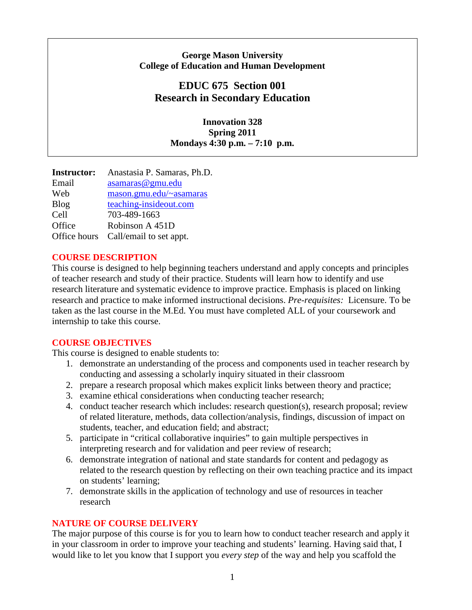## **George Mason University College of Education and Human Development**

# **EDUC 675 Section 001 Research in Secondary Education**

**Innovation 328 Spring 2011 Mondays 4:30 p.m. – 7:10 p.m.**

**Instructor:** Anastasia P. Samaras, Ph.D. Email [asamaras@gmu.edu](mailto:asamaras@gmu.edu)  Web mason.gmu.edu/~asamaras Blog teaching-insideout.com Cell 703-489-1663 Office Robinson A 451D Office hours Call/email to set appt.

## **COURSE DESCRIPTION**

This course is designed to help beginning teachers understand and apply concepts and principles of teacher research and study of their practice. Students will learn how to identify and use research literature and systematic evidence to improve practice. Emphasis is placed on linking research and practice to make informed instructional decisions. *Pre-requisites:* Licensure. To be taken as the last course in the M.Ed. You must have completed ALL of your coursework and internship to take this course.

## **COURSE OBJECTIVES**

This course is designed to enable students to:

- 1. demonstrate an understanding of the process and components used in teacher research by conducting and assessing a scholarly inquiry situated in their classroom
- 2. prepare a research proposal which makes explicit links between theory and practice;
- 3. examine ethical considerations when conducting teacher research;
- 4. conduct teacher research which includes: research question(s), research proposal; review of related literature, methods, data collection/analysis, findings, discussion of impact on students, teacher, and education field; and abstract;
- 5. participate in "critical collaborative inquiries" to gain multiple perspectives in interpreting research and for validation and peer review of research;
- 6. demonstrate integration of national and state standards for content and pedagogy as related to the research question by reflecting on their own teaching practice and its impact on students' learning;
- 7. demonstrate skills in the application of technology and use of resources in teacher research

# **NATURE OF COURSE DELIVERY**

The major purpose of this course is for you to learn how to conduct teacher research and apply it in your classroom in order to improve your teaching and students' learning. Having said that, I would like to let you know that I support you *every step* of the way and help you scaffold the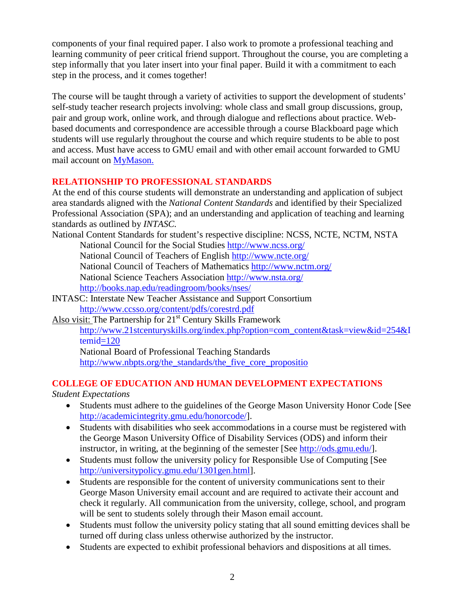components of your final required paper. I also work to promote a professional teaching and learning community of peer critical friend support. Throughout the course, you are completing a step informally that you later insert into your final paper. Build it with a commitment to each step in the process, and it comes together!

The course will be taught through a variety of activities to support the development of students' self-study teacher research projects involving: whole class and small group discussions, group, pair and group work, online work, and through dialogue and reflections about practice. Webbased documents and correspondence are accessible through a course Blackboard page which students will use regularly throughout the course and which require students to be able to post and access. Must have access to GMU email and with other email account forwarded to GMU mail account on [MyMason.](https://mymasonportal.gmu.edu/webapps/portal/frameset.jsp)

## **RELATIONSHIP TO PROFESSIONAL STANDARDS**

At the end of this course students will demonstrate an understanding and application of subject area standards aligned with the *National Content Standards* and identified by their Specialized Professional Association (SPA); and an understanding and application of teaching and learning standards as outlined by *INTASC.*

National Content Standards for student's respective discipline: NCSS, NCTE, NCTM, NSTA National Council for the Social Studies<http://www.ncss.org/> National Council of Teachers of English<http://www.ncte.org/> National Council of Teachers of Mathematics<http://www.nctm.org/> National Science Teachers Association<http://www.nsta.org/> <http://books.nap.edu/readingroom/books/nses/>

- [INTASC: Interstate New Teacher Assistance and Support Consortium](http://www.ccsso.org/content/pdfs/corestrd.pdf) <http://www.ccsso.org/content/pdfs/corestrd.pdf>
- Also visit: The Partnership for 21<sup>st</sup> Century Skills Framework [http://www.21stcenturyskills.org/index.php?option=com\\_content&task=view&id=254&I](http://www.21stcenturyskills.org/index.php?option=com_content&task=view&id=254&Itemid=120) [temid=120](http://www.21stcenturyskills.org/index.php?option=com_content&task=view&id=254&Itemid=120) National Board of Professional Teaching Standards [http://www.nbpts.org/the\\_standards/the\\_five\\_core\\_propositio](http://www.nbpts.org/the_standards/the_five_core_propositio)

# **COLLEGE OF EDUCATION AND HUMAN DEVELOPMENT EXPECTATIONS**

## *Student Expectations*

- Students must adhere to the guidelines of the George Mason University Honor Code [See [http://academicintegrity.gmu.edu/honorcode/\]](http://academicintegrity.gmu.edu/honorcode/).
- Students with disabilities who seek accommodations in a course must be registered with the George Mason University Office of Disability Services (ODS) and inform their instructor, in writing, at the beginning of the semester [See [http://ods.gmu.edu/\]](http://ods.gmu.edu/).
- Students must follow the university policy for Responsible Use of Computing [See [http://universitypolicy.gmu.edu/1301gen.html\]](http://universitypolicy.gmu.edu/1301gen.html).
- Students are responsible for the content of university communications sent to their George Mason University email account and are required to activate their account and check it regularly. All communication from the university, college, school, and program will be sent to students solely through their Mason email account.
- Students must follow the university policy stating that all sound emitting devices shall be turned off during class unless otherwise authorized by the instructor.
- Students are expected to exhibit professional behaviors and dispositions at all times.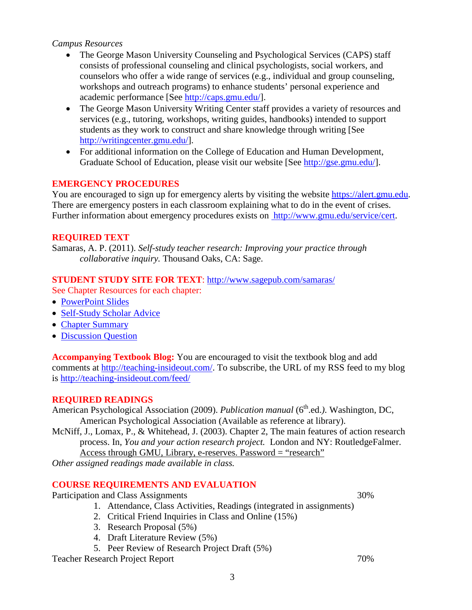## *Campus Resources*

- The George Mason University Counseling and Psychological Services (CAPS) staff consists of professional counseling and clinical psychologists, social workers, and counselors who offer a wide range of services (e.g., individual and group counseling, workshops and outreach programs) to enhance students' personal experience and academic performance [See [http://caps.gmu.edu/\]](http://caps.gmu.edu/).
- The George Mason University Writing Center staff provides a variety of resources and services (e.g., tutoring, workshops, writing guides, handbooks) intended to support students as they work to construct and share knowledge through writing [See [http://writingcenter.gmu.edu/\]](http://writingcenter.gmu.edu/).
- For additional information on the College of Education and Human Development, Graduate School of Education, please visit our website [See [http://gse.gmu.edu/\]](http://gse.gmu.edu/).

## **EMERGENCY PROCEDURES**

You are encouraged to sign up for emergency alerts by visiting the website [https://alert.gmu.edu.](https://alert.gmu.edu/) There are emergency posters in each classroom explaining what to do in the event of crises. Further information about emergency procedures exists on [http://www.gmu.edu/service/cert.](http://www.gmu.edu/service/cert)

## **REQUIRED TEXT**

Samaras, A. P. (2011). *Self-study teacher research: Improving your practice through collaborative inquiry.* Thousand Oaks, CA: Sage.

## **STUDENT STUDY SITE FOR TEXT**:<http://www.sagepub.com/samaras/>

See Chapter Resources for each chapter:

- [PowerPoint Slides](http://www.sagepub.com/samaras/chapters/PPTs/Ch01PPT.ppt)
- [Self-Study Scholar Advice](http://www.sagepub.com/samaras/chapters/Scholar%20Advice/Ch01ScholarAdvice.pdf)
- [Chapter Summary](http://www.sagepub.com/samaras/chapters/Chapter%20Summaries/Ch01Description.pdf)
- [Discussion Question](http://www.sagepub.com/samaras/chapters/Discussion%20Questions%20and%20Classroom%20Activities/Ch01Discussion.doc)

**Accompanying Textbook Blog:** You are encouraged to visit the textbook blog and add comments at [http://teaching-insideout.com/.](http://teaching-insideout.com/) To subscribe, the URL of my RSS feed to my blog is<http://teaching-insideout.com/feed/>

#### **REQUIRED READINGS**

American Psychological Association (2009). *Publication manual* (6<sup>th</sup>.ed.). Washington, DC, American Psychological Association (Available as reference at library).

McNiff, J., Lomax, P., & Whitehead, J. (2003). Chapter 2, The main features of action research process. In, *You and your action research project.* London and NY: RoutledgeFalmer. Access through GMU, Library, e-reserves. Password = "research"

*Other assigned readings made available in class.*

## **COURSE REQUIREMENTS AND EVALUATION**

Participation and Class Assignments 30%

- 1. Attendance, Class Activities, Readings (integrated in assignments)
- 2. Critical Friend Inquiries in Class and Online (15%)
- 3. Research Proposal (5%)
- 4. Draft Literature Review (5%)
- 5. Peer Review of Research Project Draft (5%)

Teacher Research Project Report 70%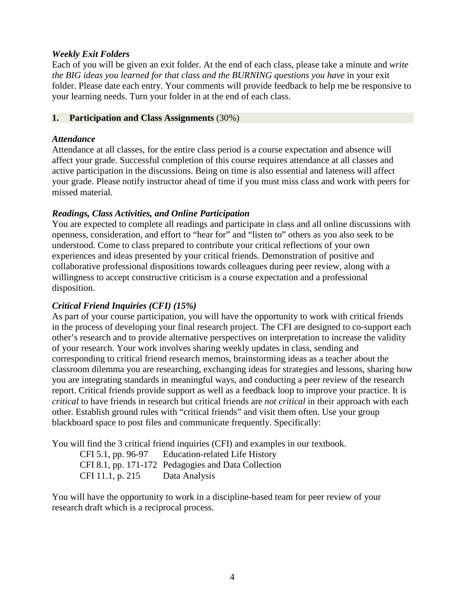## *Weekly Exit Folders*

Each of you will be given an exit folder. At the end of each class, please take a minute and *write the BIG ideas you learned for that class and the BURNING questions you have* in your exit folder. Please date each entry. Your comments will provide feedback to help me be responsive to your learning needs. Turn your folder in at the end of each class.

#### **1. Participation and Class Assignments** (30%)

## *Attendance*

Attendance at all classes, for the entire class period is a course expectation and absence will affect your grade. Successful completion of this course requires attendance at all classes and active participation in the discussions. Being on time is also essential and lateness will affect your grade. Please notify instructor ahead of time if you must miss class and work with peers for missed material.

## *Readings, Class Activities, and Online Participation*

You are expected to complete all readings and participate in class and all online discussions with openness, consideration, and effort to "hear for" and "listen to" others as you also seek to be understood. Come to class prepared to contribute your critical reflections of your own experiences and ideas presented by your critical friends. Demonstration of positive and collaborative professional dispositions towards colleagues during peer review, along with a willingness to accept constructive criticism is a course expectation and a professional disposition.

## *Critical Friend Inquiries (CFI) (15%)*

As part of your course participation, you will have the opportunity to work with critical friends in the process of developing your final research project. The CFI are designed to co-support each other's research and to provide alternative perspectives on interpretation to increase the validity of your research. Your work involves sharing weekly updates in class, sending and corresponding to critical friend research memos, brainstorming ideas as a teacher about the classroom dilemma you are researching, exchanging ideas for strategies and lessons, sharing how you are integrating standards in meaningful ways, and conducting a peer review of the research report. Critical friends provide support as well as a feedback loop to improve your practice. It is *critical* to have friends in research but critical friends are *not critical* in their approach with each other. Establish ground rules with "critical friends" and visit them often. Use your group blackboard space to post files and communicate frequently. Specifically:

You will find the 3 critical friend inquiries (CFI) and examples in our textbook.

CFI 5.1, pp. 96-97 Education-related Life History CFI 8.1, pp. 171-172 Pedagogies and Data Collection CFI 11.1, p. 215 Data Analysis

You will have the opportunity to work in a discipline-based team for peer review of your research draft which is a reciprocal process.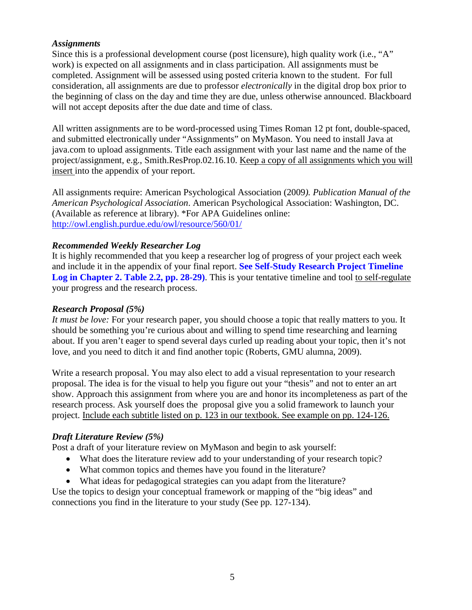## *Assignments*

Since this is a professional development course (post licensure), high quality work (i.e., "A" work) is expected on all assignments and in class participation. All assignments must be completed. Assignment will be assessed using posted criteria known to the student. For full consideration, all assignments are due to professor *electronically* in the digital drop box prior to the beginning of class on the day and time they are due, unless otherwise announced. Blackboard will not accept deposits after the due date and time of class.

All written assignments are to be word-processed using Times Roman 12 pt font, double-spaced, and submitted electronically under "Assignments" on MyMason. You need to install Java at java.com to upload assignments. Title each assignment with your last name and the name of the project/assignment, e.g., Smith.ResProp.02.16.10. Keep a copy of all assignments which you will insert into the appendix of your report.

All assignments require: American Psychological Association (2009*). Publication Manual of the American Psychological Association*. American Psychological Association: Washington, DC. (Available as reference at library). \*For APA Guidelines online: <http://owl.english.purdue.edu/owl/resource/560/01/>

## *Recommended Weekly Researcher Log*

It is highly recommended that you keep a researcher log of progress of your project each week and include it in the appendix of your final report. **See Self-Study Research Project Timeline Log in Chapter 2. Table 2.2, pp. 28-29)**. This is your tentative timeline and tool to self-regulate your progress and the research process.

#### *Research Proposal (5%)*

*It must be love:* For your research paper, you should choose a topic that really matters to you. It should be something you're curious about and willing to spend time researching and learning about. If you aren't eager to spend several days curled up reading about your topic, then it's not love, and you need to ditch it and find another topic (Roberts, GMU alumna, 2009).

Write a research proposal. You may also elect to add a visual representation to your research proposal. The idea is for the visual to help you figure out your "thesis" and not to enter an art show. Approach this assignment from where you are and honor its incompleteness as part of the research process. Ask yourself does the proposal give you a solid framework to launch your project. Include each subtitle listed on p. 123 in our textbook. See example on pp. 124-126.

#### *Draft Literature Review (5%)*

Post a draft of your literature review on MyMason and begin to ask yourself:

- What does the literature review add to your understanding of your research topic?
- What common topics and themes have you found in the literature?
- What ideas for pedagogical strategies can you adapt from the literature?

Use the topics to design your conceptual framework or mapping of the "big ideas" and connections you find in the literature to your study (See pp. 127-134).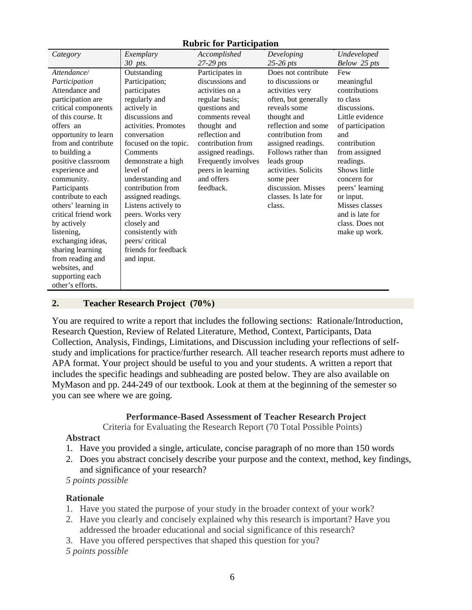#### **Rubric for Participation**

| Category             | Exemplary             | Accomplished        | Developing           | Undeveloped      |
|----------------------|-----------------------|---------------------|----------------------|------------------|
|                      | 30 pts.               | $27-29$ pts         | $25-26$ pts          | Below 25 pts     |
| Attendance/          | Outstanding           | Participates in     | Does not contribute  | Few              |
| Participation        | Participation;        | discussions and     | to discussions or    | meaningful       |
| Attendance and       | participates          | activities on a     | activities very      | contributions    |
| participation are    | regularly and         | regular basis;      | often, but generally | to class         |
| critical components  | actively in           | questions and       | reveals some         | discussions.     |
| of this course. It   | discussions and       | comments reveal     | thought and          | Little evidence  |
| offers an            | activities. Promotes  | thought and         | reflection and some  | of participation |
| opportunity to learn | conversation          | reflection and      | contribution from    | and              |
| from and contribute  | focused on the topic. | contribution from   | assigned readings.   | contribution     |
| to building a        | Comments              | assigned readings.  | Follows rather than  | from assigned    |
| positive classroom   | demonstrate a high    | Frequently involves | leads group          | readings.        |
| experience and       | level of              | peers in learning   | activities. Solicits | Shows little     |
| community.           | understanding and     | and offers          | some peer            | concern for      |
| Participants         | contribution from     | feedback.           | discussion. Misses   | peers' learning  |
| contribute to each   | assigned readings.    |                     | classes. Is late for | or input.        |
| others' learning in  | Listens actively to   |                     | class.               | Misses classes   |
| critical friend work | peers. Works very     |                     |                      | and is late for  |
| by actively          | closely and           |                     |                      | class. Does not  |
| listening,           | consistently with     |                     |                      | make up work.    |
| exchanging ideas,    | peers/critical        |                     |                      |                  |
| sharing learning     | friends for feedback  |                     |                      |                  |
| from reading and     | and input.            |                     |                      |                  |
| websites, and        |                       |                     |                      |                  |
| supporting each      |                       |                     |                      |                  |
| other's efforts.     |                       |                     |                      |                  |

#### **2. Teacher Research Project (70%)**

You are required to write a report that includes the following sections: Rationale/Introduction, Research Question, Review of Related Literature, Method, Context, Participants, Data Collection, Analysis, Findings, Limitations, and Discussion including your reflections of selfstudy and implications for practice/further research. All teacher research reports must adhere to APA format. Your project should be useful to you and your students. A written a report that includes the specific headings and subheading are posted below. They are also available on MyMason and pp. 244-249 of our textbook. Look at them at the beginning of the semester so you can see where we are going.

#### **Performance-Based Assessment of Teacher Research Project**

Criteria for Evaluating the Research Report (70 Total Possible Points)

#### **Abstract**

- 1. Have you provided a single, articulate, concise paragraph of no more than 150 words
- 2. Does you abstract concisely describe your purpose and the context, method, key findings, and significance of your research?
- *5 points possible*

#### **Rationale**

- 1. Have you stated the purpose of your study in the broader context of your work?
- 2. Have you clearly and concisely explained why this research is important? Have you addressed the broader educational and social significance of this research?
- 3. Have you offered perspectives that shaped this question for you?
- *5 points possible*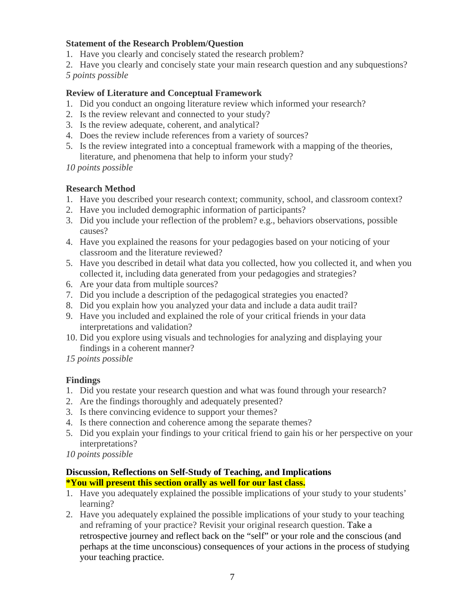## **Statement of the Research Problem/Question**

- 1. Have you clearly and concisely stated the research problem?
- 2. Have you clearly and concisely state your main research question and any subquestions?

*5 points possible*

## **Review of Literature and Conceptual Framework**

- 1. Did you conduct an ongoing literature review which informed your research?
- 2. Is the review relevant and connected to your study?
- 3. Is the review adequate, coherent, and analytical?
- 4. Does the review include references from a variety of sources?
- 5. Is the review integrated into a conceptual framework with a mapping of the theories, literature, and phenomena that help to inform your study?

*10 points possible*

## **Research Method**

- 1. Have you described your research context; community, school, and classroom context?
- 2. Have you included demographic information of participants?
- 3. Did you include your reflection of the problem? e.g., behaviors observations, possible causes?
- 4. Have you explained the reasons for your pedagogies based on your noticing of your classroom and the literature reviewed?
- 5. Have you described in detail what data you collected, how you collected it, and when you collected it, including data generated from your pedagogies and strategies?
- 6. Are your data from multiple sources?
- 7. Did you include a description of the pedagogical strategies you enacted?
- 8. Did you explain how you analyzed your data and include a data audit trail?
- 9. Have you included and explained the role of your critical friends in your data interpretations and validation?
- 10. Did you explore using visuals and technologies for analyzing and displaying your findings in a coherent manner?

*15 points possible*

## **Findings**

- 1. Did you restate your research question and what was found through your research?
- 2. Are the findings thoroughly and adequately presented?
- 3. Is there convincing evidence to support your themes?
- 4. Is there connection and coherence among the separate themes?
- 5. Did you explain your findings to your critical friend to gain his or her perspective on your interpretations?
- *10 points possible*

#### **Discussion, Reflections on Self-Study of Teaching, and Implications \*You will present this section orally as well for our last class.**

- 1. Have you adequately explained the possible implications of your study to your students' learning?
- 2. Have you adequately explained the possible implications of your study to your teaching and reframing of your practice? Revisit your original research question. Take a retrospective journey and reflect back on the "self" or your role and the conscious (and perhaps at the time unconscious) consequences of your actions in the process of studying your teaching practice.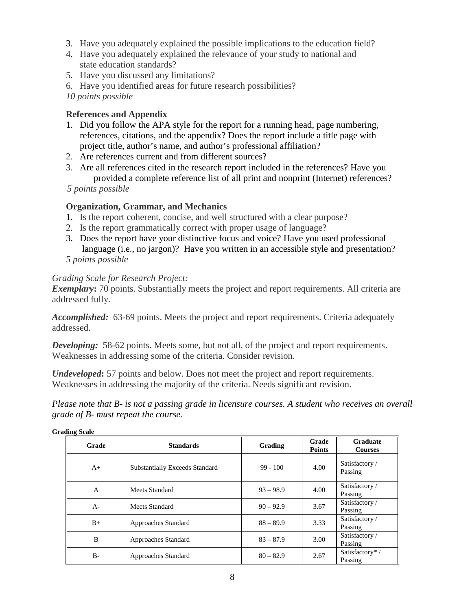- 3. Have you adequately explained the possible implications to the education field?
- 4. Have you adequately explained the relevance of your study to national and state education standards?
- 5. Have you discussed any limitations?
- 6. Have you identified areas for future research possibilities?
- *10 points possible*

## **References and Appendix**

- 1. Did you follow the APA style for the report for a running head, page numbering, references, citations, and the appendix? Does the report include a title page with project title, author's name, and author's professional affiliation?
- 2. Are references current and from different sources?
- 3. Are all references cited in the research report included in the references? Have you provided a complete reference list of all print and nonprint (Internet) references?

 *5 points possible*

#### **Organization, Grammar, and Mechanics**

- 1. Is the report coherent, concise, and well structured with a clear purpose?
- 2. Is the report grammatically correct with proper usage of language?
- 3. Does the report have your distinctive focus and voice? Have you used professional language (i.e., no jargon)? Have you written in an accessible style and presentation?

# *5 points possible*

## *Grading Scale for Research Project:*

**Exemplary:** 70 points. Substantially meets the project and report requirements. All criteria are addressed fully.

*Accomplished:* 63-69 points. Meets the project and report requirements. Criteria adequately addressed.

**Developing:** 58-62 points. Meets some, but not all, of the project and report requirements. Weaknesses in addressing some of the criteria. Consider revision.

*Undeveloped***:** 57 points and below. Does not meet the project and report requirements. Weaknesses in addressing the majority of the criteria. Needs significant revision.

*Please note that B- is not a passing grade in licensure courses. A student who receives an overall grade of B- must repeat the course.* 

| Grade        | <b>Standards</b>                      | Grading     | Grade<br><b>Points</b> | <b>Graduate</b><br><b>Courses</b> |
|--------------|---------------------------------------|-------------|------------------------|-----------------------------------|
| $A+$         | <b>Substantially Exceeds Standard</b> | $99 - 100$  | 4.00                   | Satisfactory /<br>Passing         |
| $\mathsf{A}$ | Meets Standard                        | $93 - 98.9$ | 4.00                   | Satisfactory /<br>Passing         |
| $A -$        | Meets Standard                        | $90 - 92.9$ | 3.67                   | Satisfactory /<br>Passing         |
| $B+$         | Approaches Standard                   | $88 - 89.9$ | 3.33                   | Satisfactory /<br>Passing         |
| B            | Approaches Standard                   | $83 - 87.9$ | 3.00                   | Satisfactory /<br>Passing         |
| $B -$        | Approaches Standard                   | $80 - 82.9$ | 2.67                   | Satisfactory*/<br>Passing         |

**Grading Scale**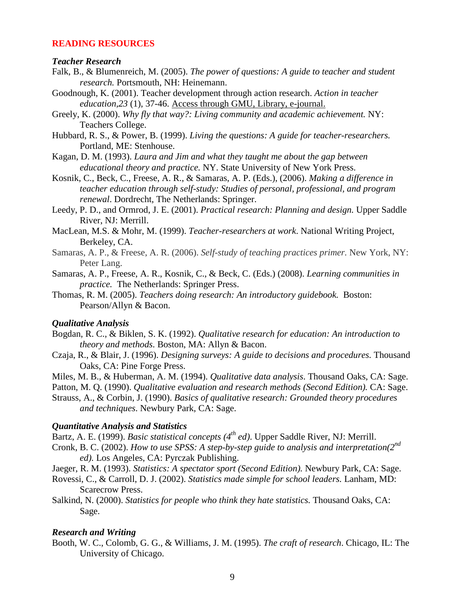#### **READING RESOURCES**

#### *Teacher Research*

- Falk, B., & Blumenreich, M. (2005). *The power of questions: A guide to teacher and student research.* Portsmouth, NH: Heinemann.
- Goodnough, K. (2001). Teacher development through action research. *Action in teacher education,23* (1), 37-46. Access through GMU, Library, e-journal.
- Greely, K. (2000). *Why fly that way?: Living community and academic achievement.* NY: Teachers College.
- Hubbard, R. S., & Power, B. (1999). *Living the questions: A guide for teacher-researchers.*  Portland, ME: Stenhouse.
- Kagan, D. M. (1993). *Laura and Jim and what they taught me about the gap between educational theory and practice.* NY. State University of New York Press.
- Kosnik, C., Beck, C., Freese, A. R., & Samaras, A. P. (Eds.), (2006). *Making a difference in teacher education through self-study: Studies of personal, professional, and program renewal*. Dordrecht, The Netherlands: Springer.
- Leedy, P. D., and Ormrod, J. E. (2001). *Practical research: Planning and design.* Upper Saddle River, NJ: Merrill.
- MacLean, M.S. & Mohr, M. (1999). *Teacher-researchers at work*. National Writing Project, Berkeley, CA.
- Samaras, A. P., & Freese, A. R. (2006). *Self-study of teaching practices primer.* New York, NY: Peter Lang.
- Samaras, A. P., Freese, A. R., Kosnik, C., & Beck, C. (Eds.) (2008). *Learning communities in practice.* The Netherlands: Springer Press.
- Thomas, R. M. (2005). *Teachers doing research: An introductory guidebook.* Boston: Pearson/Allyn & Bacon.

#### *Qualitative Analysis*

- Bogdan, R. C., & Biklen, S. K. (1992). *Qualitative research for education: An introduction to theory and methods*. Boston, MA: Allyn & Bacon.
- Czaja, R., & Blair, J. (1996). *Designing surveys: A guide to decisions and procedures.* Thousand Oaks, CA: Pine Forge Press.
- Miles, M. B., & Huberman, A. M. (1994). *Qualitative data analysis*. Thousand Oaks, CA: Sage.
- Patton, M. Q. (1990). *Qualitative evaluation and research methods (Second Edition).* CA: Sage.
- Strauss, A., & Corbin, J. (1990). *Basics of qualitative research: Grounded theory procedures and techniques*. Newbury Park, CA: Sage.

#### *Quantitative Analysis and Statistics*

- Bartz, A. E. (1999). *Basic statistical concepts (4th ed)*. Upper Saddle River, NJ: Merrill.
- Cronk, B. C. (2002). *How to use SPSS: A step-by-step guide to analysis and interpretation(2nd ed).* Los Angeles, CA: Pyrczak Publishing.
- Jaeger, R. M. (1993). *Statistics: A spectator sport (Second Edition).* Newbury Park, CA: Sage.
- Rovessi, C., & Carroll, D. J. (2002). *Statistics made simple for school leaders.* Lanham, MD: Scarecrow Press.
- Salkind, N. (2000). *Statistics for people who think they hate statistics.* Thousand Oaks, CA: Sage.

#### *Research and Writing*

Booth, W. C., Colomb, G. G., & Williams, J. M. (1995). *The craft of research*. Chicago, IL: The University of Chicago.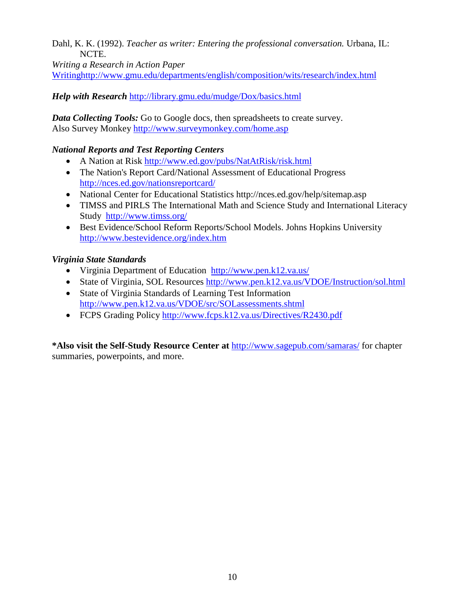Dahl, K. K. (1992). *Teacher as writer: Entering the professional conversation.* Urbana, IL: NCTE.

*Writing a Research in Action Paper*

[Writinghttp://www.gmu.edu/departments/english/composition/wits/research/index.html](http://www.gmu.edu/departments/english/composition/wits/research/index.html)

*Help with Research* <http://library.gmu.edu/mudge/Dox/basics.html>

*Data Collecting Tools:* Go to Google docs, then spreadsheets to create survey. Also Survey Monkey<http://www.surveymonkey.com/home.asp>

## *National Reports and Test Reporting Centers*

- A Nation at Risk<http://www.ed.gov/pubs/NatAtRisk/risk.html>
- [The Nation's Report Card/](http://nces.ed.gov/nationsreportcard/)National Assessment of Educational Progress <http://nces.ed.gov/nationsreportcard/>
- National Center for Educational Statistics http://nces.ed.gov/help/sitemap.asp
- TIMSS and PIRLS [The International Math and Science Study](http://www.timss.org/) and International Literacy Study <http://www.timss.org/>
- Best Evidence/School Reform Reports/School Models. Johns Hopkins University <http://www.bestevidence.org/index.htm>

# *Virginia State Standards*

- [Virginia Department of Education http://www.pen.k12.va.us/](http://www.pen.k12.va.us/)
- State of Virginia, SOL Resources<http://www.pen.k12.va.us/VDOE/Instruction/sol.html>
- State of Virginia Standards of Learning Test Information <http://www.pen.k12.va.us/VDOE/src/SOLassessments.shtml>
- FCPS Grading Policy<http://www.fcps.k12.va.us/Directives/R2430.pdf>

**\*Also visit the Self-Study Resource Center at** <http://www.sagepub.com/samaras/> for chapter summaries, powerpoints, and more.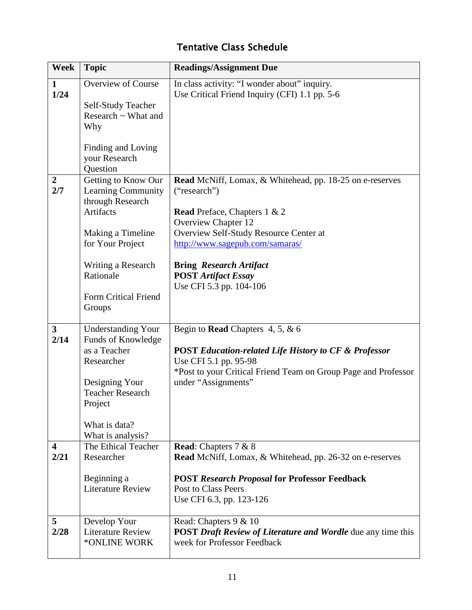# Tentative Class Schedule

| <b>Week</b>                     | <b>Topic</b>                                                                                                                                                                             | <b>Readings/Assignment Due</b>                                                                                                                                                                                                                                                                                        |
|---------------------------------|------------------------------------------------------------------------------------------------------------------------------------------------------------------------------------------|-----------------------------------------------------------------------------------------------------------------------------------------------------------------------------------------------------------------------------------------------------------------------------------------------------------------------|
| $\mathbf 1$<br>1/24             | <b>Overview of Course</b><br>Self-Study Teacher<br>Research $\sim$ What and<br>Why<br>Finding and Loving<br>your Research<br>Question                                                    | In class activity: "I wonder about" inquiry.<br>Use Critical Friend Inquiry (CFI) 1.1 pp. 5-6                                                                                                                                                                                                                         |
| $\overline{2}$<br>2/7           | Getting to Know Our<br>Learning Community<br>through Research<br>Artifacts<br>Making a Timeline<br>for Your Project<br>Writing a Research<br>Rationale<br>Form Critical Friend<br>Groups | Read McNiff, Lomax, & Whitehead, pp. 18-25 on e-reserves<br>("research")<br><b>Read</b> Preface, Chapters 1 & 2<br><b>Overview Chapter 12</b><br>Overview Self-Study Resource Center at<br>http://www.sagepub.com/samaras/<br><b>Bring Research Artifact</b><br><b>POST Artifact Essay</b><br>Use CFI 5.3 pp. 104-106 |
| $\overline{\mathbf{3}}$<br>2/14 | <b>Understanding Your</b><br>Funds of Knowledge<br>as a Teacher<br>Researcher<br>Designing Your<br><b>Teacher Research</b><br>Project<br>What is data?<br>What is analysis?              | Begin to <b>Read</b> Chapters 4, 5, $\&$ 6<br><b>POST Education-related Life History to CF &amp; Professor</b><br>Use CFI 5.1 pp. 95-98<br>*Post to your Critical Friend Team on Group Page and Professor<br>under "Assignments"                                                                                      |
| $\overline{\mathbf{4}}$<br>2/21 | The Ethical Teacher<br>Researcher<br>Beginning a<br><b>Literature Review</b>                                                                                                             | Read: Chapters 7 & 8<br><b>Read</b> McNiff, Lomax, & Whitehead, pp. 26-32 on e-reserves<br><b>POST Research Proposal for Professor Feedback</b><br><b>Post to Class Peers</b><br>Use CFI 6.3, pp. 123-126                                                                                                             |
| 5<br>2/28                       | Develop Your<br><b>Literature Review</b><br>*ONLINE WORK                                                                                                                                 | Read: Chapters 9 & 10<br><b>POST Draft Review of Literature and Wordle due any time this</b><br>week for Professor Feedback                                                                                                                                                                                           |